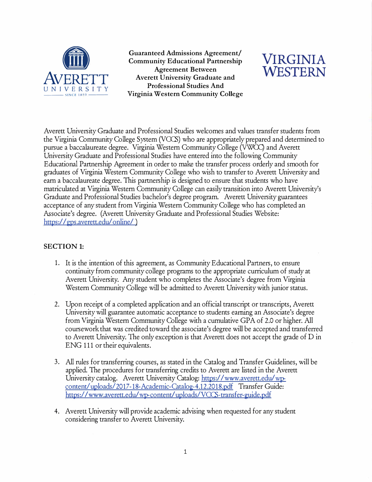

**a**<br> **Contract Admissions Agreement/<br>
<b>Agreement Between**<br> **Agreement Between**<br> **Agreement Setween**<br> **Agreement Setween Community Educational Partnership VIRGINIA Averett University Graduate and Agreement Between EXAMPLE AND ASSESS AND ASSESS AND ASSESS AND ASSESS AND AVERETT PROFESSIONAL PROFESSIONAL PROFESSIONAL STATE AND PROFESSIONAL STATE PROFESSIONAL STATE PROPERTY --- SINCE IR'i9 --- Virginia Western Community College** 



Averett University Graduate and Professional Studies welcomes and values transfer students from the Virginia Community College System (VCCS) who are appropriately prepared and determined to pursue a baccalaureate degree. Virginia Western Community College (VWCC) and Averett University Graduate and Professional Studies have entered into the following Community Educational Partnership Agreement in order to make the transfer process orderly and smooth for graduates of Virginia Western Community College who wish to transfer to Averett University and earn a baccalaureate degree. This partnership is designed to ensure that students who have matriculated at Virginia Western Community College can easily transition into Averett University's Graduate and Professional Studies bachelor's degree program. Averett University guarantees acceptance of any student from Virginia Western Community College who has completed an Associate's degree. (Averett University Graduate and Professional Studies Website: https:/ [/ gps.averett.edu/](https://gps.averett.edu) online/)

## **SECTION 1:**

- 1. It is the intention of this agreement, as Community Educational Partners, to ensure continuity from community college programs to the appropriate curriculum of study at Averett University. Any student who completes the Associate's degree from Virginia Western Community College will be admitted to Averett University with junior status.
- 2. Upon receipt of a completed application and an official transcript or transcripts, Averett University will guarantee automatic acceptance to students earning an Associate's degree from Virginia Western Community College with a cumulative GPA of 2.0 or higher. All coursework that was credited toward the associate's degree will be accepted and transferred to Averett University. The only exception is that Averett does not accept the grade of D in ENG 111 or their equivalents.
- 3. All rules for transferring courses, as stated in the Catalog and Transfer Guidelines, will be applied. The procedures for transferring credits to Averett are listed in the Averett University catalog. Averett University Catalog: https://[www.averett.edu/](www.averett.edu/wp)wpcontent/uploads/2017-18-Academic-Catalog-4.12.2018.pdf Transfer Guide: https://[www.averett.edu/](www.averett.edu)wp-content/uploads/VCCS-transfer-guide.pdf
- 4. Averett University will provide academic advising when requested for any student considering transfer to Averett University.